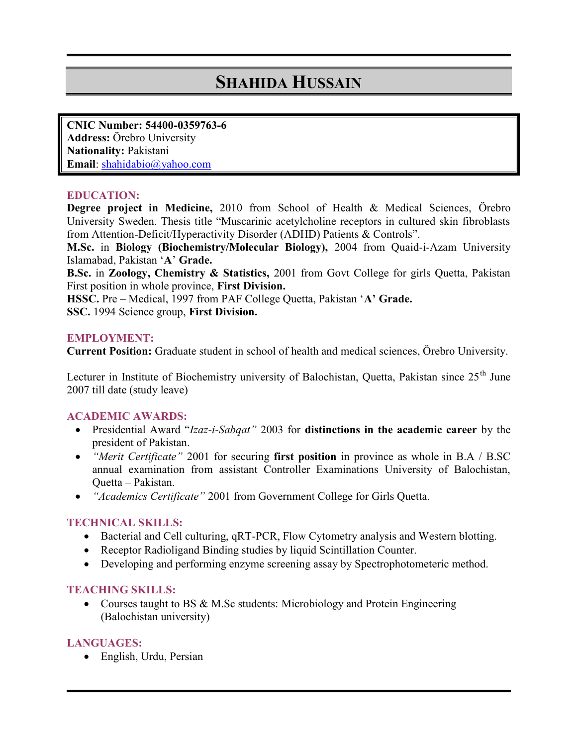# SHAHID **HUSSAIN**

CNIC Num 5  $44.003597663$ Addre Ösebro University Nationa Piaukistani Emaid hahidabio@yahoo.com

### EDUCATION:

Degree project in 2Nd@fomeSchool of Health & Mededarb Sciences, Degree University Sweden. Thesis title Muscarinic acetylcholine rece from AtteDelfonit/Hyperactivity Disorder (ADHD) Patients & Cont M. Scin Biology (Biochemistry/Mole 2:000 off romBio Quaid on Wenrisity Islamabad, PAa Girsatoten.

B. Scn Zoology, Chemistry & OSD tatins of mixed over College for girls Que First position in whFaitstpDowlissicoen,.

HSS @ re Medical, 1997 from PAF Colle & e Cuad ta, Pakistan SSC1.994 Scienceigsto Dpyision.

### EMPLOYMENT:

Current Po $\mathfrak S$  it and nussattued enstchrool of health and sm,  $\ddot{\mathfrak{gl}}$  in early beinvocersity.

Lecturer in Institute of Biochemistry university of Balumehistan 2007 tatle of study leave)

#### ACADEMIC AWARDS:

- ð· Presidentiall Alawiz Sabqalt 003 doistinctions in the acaboylet mhiec care president of Pakistan.
- ð· Merit Certi $\Omega$ ioc $a$  tefor sectuating posintion rovince as whole in B.A annua kamination afst soistant Controller Examinations University Quettaakistan.
- ð Academics Ce2001 tatem Government College for Girls Quett

## TECHNICAL SKILLS:

- ð· Bacterial and Cell dPuCtPu, riffilgp, wq **R** yTtometry analysis and West
- ð Receptor Radioligand Binding studies by liquid Scintillatio
- ð· Developing and performing enzyme screening assay by Spe

#### TEACHING SKILLS:

ð Courses taught to BS & MMLr **Soistodenas**d Protein Engineering  $(Balochis$  the versity)

#### LANGUAGES:

ð· English, Urdu, Persian